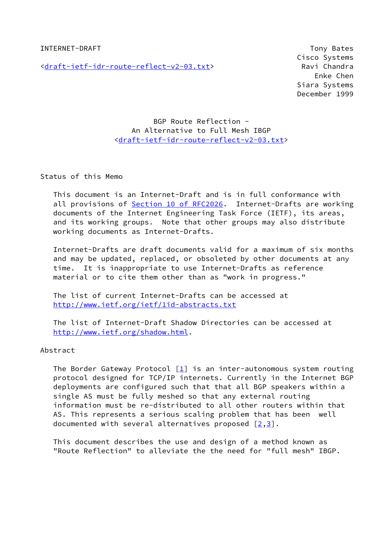INTERNET-DRAFT TO A RESERVE TO A RESERVE TO A RESERVE TO A RESERVE TO A RESERVE TO A RESERVE TO A RESERVE TO A

[<draft-ietf-idr-route-reflect-v2-03.txt](https://datatracker.ietf.org/doc/pdf/draft-ietf-idr-route-reflect-v2-03.txt)> Ravi Chandra

 Cisco Systems Enke Chen Siara Systems December 1999

# BGP Route Reflection - An Alternative to Full Mesh IBGP <[draft-ietf-idr-route-reflect-v2-03.txt](https://datatracker.ietf.org/doc/pdf/draft-ietf-idr-route-reflect-v2-03.txt)>

Status of this Memo

 This document is an Internet-Draft and is in full conformance with all provisions of Section [10 of RFC2026.](https://datatracker.ietf.org/doc/pdf/rfc2026#section-10) Internet-Drafts are working documents of the Internet Engineering Task Force (IETF), its areas, and its working groups. Note that other groups may also distribute working documents as Internet-Drafts.

 Internet-Drafts are draft documents valid for a maximum of six months and may be updated, replaced, or obsoleted by other documents at any time. It is inappropriate to use Internet-Drafts as reference material or to cite them other than as "work in progress."

 The list of current Internet-Drafts can be accessed at <http://www.ietf.org/ietf/1id-abstracts.txt>

 The list of Internet-Draft Shadow Directories can be accessed at <http://www.ietf.org/shadow.html>.

## Abstract

The Border Gateway Protocol  $[\underline{1}]$  is an inter-autonomous system routing protocol designed for TCP/IP internets. Currently in the Internet BGP deployments are configured such that that all BGP speakers within a single AS must be fully meshed so that any external routing information must be re-distributed to all other routers within that AS. This represents a serious scaling problem that has been well documented with several alternatives proposed  $\lceil 2,3 \rceil$  $\lceil 2,3 \rceil$  $\lceil 2,3 \rceil$  $\lceil 2,3 \rceil$ .

 This document describes the use and design of a method known as "Route Reflection" to alleviate the the need for "full mesh" IBGP.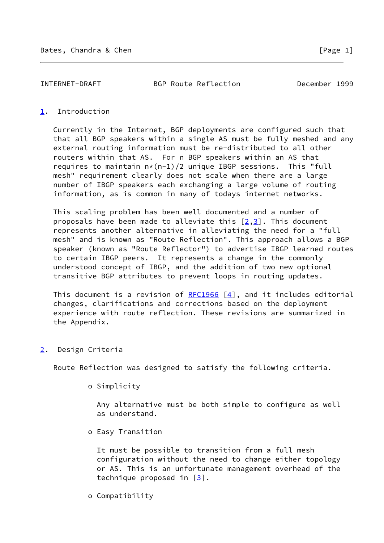INTERNET-DRAFT BGP Route Reflection December 1999

## <span id="page-1-0"></span>[1](#page-1-0). Introduction

 Currently in the Internet, BGP deployments are configured such that that all BGP speakers within a single AS must be fully meshed and any external routing information must be re-distributed to all other routers within that AS. For n BGP speakers within an AS that requires to maintain  $n*(n-1)/2$  unique IBGP sessions. This "full mesh" requirement clearly does not scale when there are a large number of IBGP speakers each exchanging a large volume of routing information, as is common in many of todays internet networks.

 This scaling problem has been well documented and a number of proposals have been made to alleviate this  $[2,3]$  $[2,3]$  $[2,3]$ . This document represents another alternative in alleviating the need for a "full mesh" and is known as "Route Reflection". This approach allows a BGP speaker (known as "Route Reflector") to advertise IBGP learned routes to certain IBGP peers. It represents a change in the commonly understood concept of IBGP, and the addition of two new optional transitive BGP attributes to prevent loops in routing updates.

This document is a revision of  $RFC1966 [4]$  $RFC1966 [4]$  $RFC1966 [4]$  $RFC1966 [4]$ , and it includes editorial changes, clarifications and corrections based on the deployment experience with route reflection. These revisions are summarized in the Appendix.

<span id="page-1-1"></span>[2](#page-1-1). Design Criteria

Route Reflection was designed to satisfy the following criteria.

o Simplicity

 Any alternative must be both simple to configure as well as understand.

o Easy Transition

 It must be possible to transition from a full mesh configuration without the need to change either topology or AS. This is an unfortunate management overhead of the technique proposed in  $[3]$  $[3]$ .

o Compatibility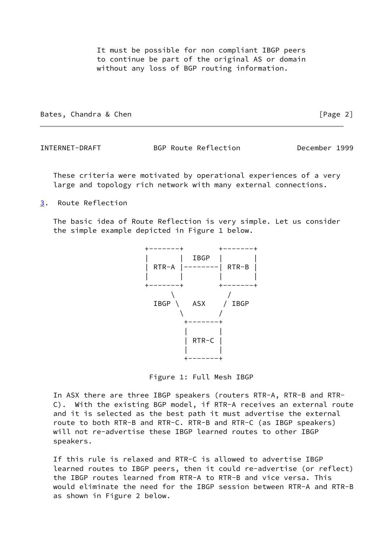It must be possible for non compliant IBGP peers to continue be part of the original AS or domain without any loss of BGP routing information.

Bates, Chandra & Chen **Example 2** and the control of Page 2]

INTERNET-DRAFT BGP Route Reflection December 1999

 These criteria were motivated by operational experiences of a very large and topology rich network with many external connections.

<span id="page-2-0"></span>[3](#page-2-0). Route Reflection

 The basic idea of Route Reflection is very simple. Let us consider the simple example depicted in Figure 1 below.



Figure 1: Full Mesh IBGP

 In ASX there are three IBGP speakers (routers RTR-A, RTR-B and RTR- C). With the existing BGP model, if RTR-A receives an external route and it is selected as the best path it must advertise the external route to both RTR-B and RTR-C. RTR-B and RTR-C (as IBGP speakers) will not re-advertise these IBGP learned routes to other IBGP speakers.

 If this rule is relaxed and RTR-C is allowed to advertise IBGP learned routes to IBGP peers, then it could re-advertise (or reflect) the IBGP routes learned from RTR-A to RTR-B and vice versa. This would eliminate the need for the IBGP session between RTR-A and RTR-B as shown in Figure 2 below.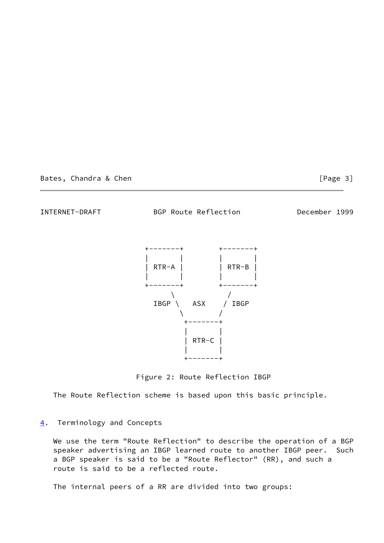Bates, Chandra & Chen **Exercise 2018** [Page 3]

INTERNET-DRAFT BGP Route Reflection December 1999



Figure 2: Route Reflection IBGP

The Route Reflection scheme is based upon this basic principle.

## <span id="page-3-0"></span>[4](#page-3-0). Terminology and Concepts

 We use the term "Route Reflection" to describe the operation of a BGP speaker advertising an IBGP learned route to another IBGP peer. Such a BGP speaker is said to be a "Route Reflector" (RR), and such a route is said to be a reflected route.

The internal peers of a RR are divided into two groups: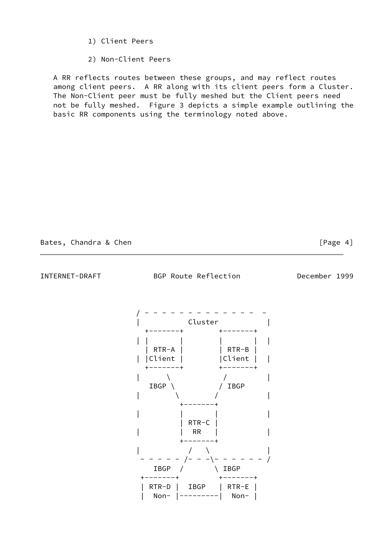- 1) Client Peers
- 2) Non-Client Peers

 A RR reflects routes between these groups, and may reflect routes among client peers. A RR along with its client peers form a Cluster. The Non-Client peer must be fully meshed but the Client peers need not be fully meshed. Figure 3 depicts a simple example outlining the basic RR components using the terminology noted above.

## Bates, Chandra & Chen **Example 20** and 20 and 20 and 20 and 20 and 20 and 20 and 20 and 20 and 20 and 20 and 20 and 20 and 20 and 20 and 20 and 20 and 20 and 20 and 20 and 20 and 20 and 20 and 20 and 20 and 20 and 20 and 2

INTERNET-DRAFT BGP Route Reflection December 1999

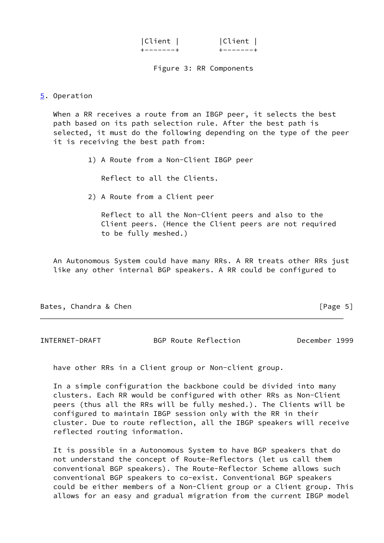| Client | Client |
|--------|--------|
|        |        |

Figure 3: RR Components

<span id="page-5-0"></span>[5](#page-5-0). Operation

 When a RR receives a route from an IBGP peer, it selects the best path based on its path selection rule. After the best path is selected, it must do the following depending on the type of the peer it is receiving the best path from:

1) A Route from a Non-Client IBGP peer

Reflect to all the Clients.

2) A Route from a Client peer

 Reflect to all the Non-Client peers and also to the Client peers. (Hence the Client peers are not required to be fully meshed.)

 An Autonomous System could have many RRs. A RR treats other RRs just like any other internal BGP speakers. A RR could be configured to

Bates, Chandra & Chen **Exercise 2018** [Page 5]

INTERNET-DRAFT BGP Route Reflection December 1999

have other RRs in a Client group or Non-client group.

 In a simple configuration the backbone could be divided into many clusters. Each RR would be configured with other RRs as Non-Client peers (thus all the RRs will be fully meshed.). The Clients will be configured to maintain IBGP session only with the RR in their cluster. Due to route reflection, all the IBGP speakers will receive reflected routing information.

 It is possible in a Autonomous System to have BGP speakers that do not understand the concept of Route-Reflectors (let us call them conventional BGP speakers). The Route-Reflector Scheme allows such conventional BGP speakers to co-exist. Conventional BGP speakers could be either members of a Non-Client group or a Client group. This allows for an easy and gradual migration from the current IBGP model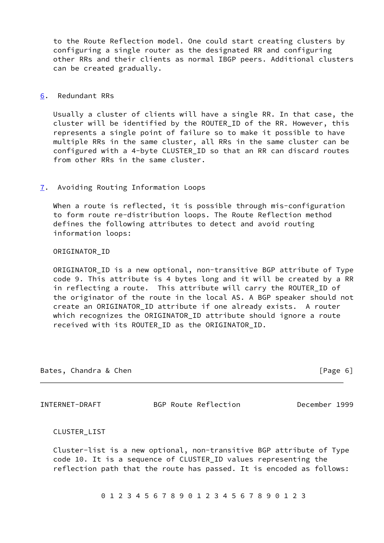to the Route Reflection model. One could start creating clusters by configuring a single router as the designated RR and configuring other RRs and their clients as normal IBGP peers. Additional clusters can be created gradually.

### <span id="page-6-0"></span>[6](#page-6-0). Redundant RRs

 Usually a cluster of clients will have a single RR. In that case, the cluster will be identified by the ROUTER\_ID of the RR. However, this represents a single point of failure so to make it possible to have multiple RRs in the same cluster, all RRs in the same cluster can be configured with a 4-byte CLUSTER\_ID so that an RR can discard routes from other RRs in the same cluster.

### <span id="page-6-1"></span>[7](#page-6-1). Avoiding Routing Information Loops

 When a route is reflected, it is possible through mis-configuration to form route re-distribution loops. The Route Reflection method defines the following attributes to detect and avoid routing information loops:

#### ORIGINATOR\_ID

 ORIGINATOR\_ID is a new optional, non-transitive BGP attribute of Type code 9. This attribute is 4 bytes long and it will be created by a RR in reflecting a route. This attribute will carry the ROUTER\_ID of the originator of the route in the local AS. A BGP speaker should not create an ORIGINATOR\_ID attribute if one already exists. A router which recognizes the ORIGINATOR\_ID attribute should ignore a route received with its ROUTER\_ID as the ORIGINATOR\_ID.

| Bates, Chandra & Chen | [Page 6] |  |
|-----------------------|----------|--|
|                       |          |  |

INTERNET-DRAFT BGP Route Reflection December 1999

CLUSTER\_LIST

 Cluster-list is a new optional, non-transitive BGP attribute of Type code 10. It is a sequence of CLUSTER\_ID values representing the reflection path that the route has passed. It is encoded as follows:

0 1 2 3 4 5 6 7 8 9 0 1 2 3 4 5 6 7 8 9 0 1 2 3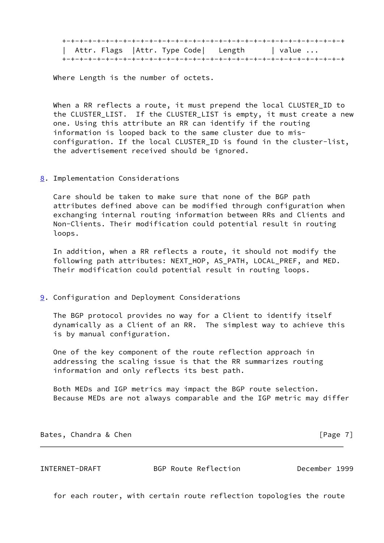|  |  |  | Attr. Flags   Attr. Type Code  Length | value $\ldots$ |
|--|--|--|---------------------------------------|----------------|
|  |  |  |                                       |                |

Where Length is the number of octets.

 When a RR reflects a route, it must prepend the local CLUSTER\_ID to the CLUSTER\_LIST. If the CLUSTER\_LIST is empty, it must create a new one. Using this attribute an RR can identify if the routing information is looped back to the same cluster due to mis configuration. If the local CLUSTER\_ID is found in the cluster-list, the advertisement received should be ignored.

<span id="page-7-0"></span>[8](#page-7-0). Implementation Considerations

 Care should be taken to make sure that none of the BGP path attributes defined above can be modified through configuration when exchanging internal routing information between RRs and Clients and Non-Clients. Their modification could potential result in routing loops.

 In addition, when a RR reflects a route, it should not modify the following path attributes: NEXT\_HOP, AS\_PATH, LOCAL\_PREF, and MED. Their modification could potential result in routing loops.

<span id="page-7-1"></span>**[9](#page-7-1).** Configuration and Deployment Considerations

 The BGP protocol provides no way for a Client to identify itself dynamically as a Client of an RR. The simplest way to achieve this is by manual configuration.

 One of the key component of the route reflection approach in addressing the scaling issue is that the RR summarizes routing information and only reflects its best path.

 Both MEDs and IGP metrics may impact the BGP route selection. Because MEDs are not always comparable and the IGP metric may differ

Bates, Chandra & Chen **Exercise 2018** [Page 7]

INTERNET-DRAFT BGP Route Reflection December 1999

for each router, with certain route reflection topologies the route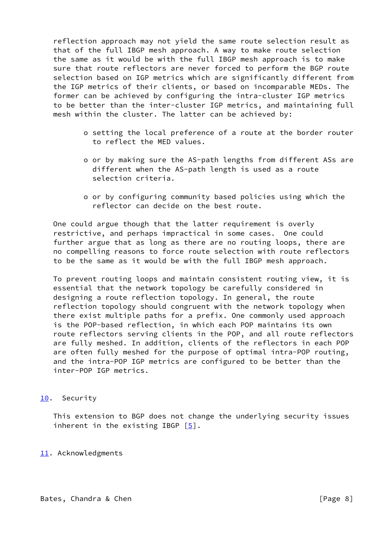reflection approach may not yield the same route selection result as that of the full IBGP mesh approach. A way to make route selection the same as it would be with the full IBGP mesh approach is to make sure that route reflectors are never forced to perform the BGP route selection based on IGP metrics which are significantly different from the IGP metrics of their clients, or based on incomparable MEDs. The former can be achieved by configuring the intra-cluster IGP metrics to be better than the inter-cluster IGP metrics, and maintaining full mesh within the cluster. The latter can be achieved by:

- o setting the local preference of a route at the border router to reflect the MED values.
- o or by making sure the AS-path lengths from different ASs are different when the AS-path length is used as a route selection criteria.
- o or by configuring community based policies using which the reflector can decide on the best route.

 One could argue though that the latter requirement is overly restrictive, and perhaps impractical in some cases. One could further argue that as long as there are no routing loops, there are no compelling reasons to force route selection with route reflectors to be the same as it would be with the full IBGP mesh approach.

 To prevent routing loops and maintain consistent routing view, it is essential that the network topology be carefully considered in designing a route reflection topology. In general, the route reflection topology should congruent with the network topology when there exist multiple paths for a prefix. One commonly used approach is the POP-based reflection, in which each POP maintains its own route reflectors serving clients in the POP, and all route reflectors are fully meshed. In addition, clients of the reflectors in each POP are often fully meshed for the purpose of optimal intra-POP routing, and the intra-POP IGP metrics are configured to be better than the inter-POP IGP metrics.

## <span id="page-8-0"></span>[10.](#page-8-0) Security

 This extension to BGP does not change the underlying security issues inherent in the existing IBGP  $\lceil \frac{5}{2} \rceil$ .

### <span id="page-8-1"></span>[11.](#page-8-1) Acknowledgments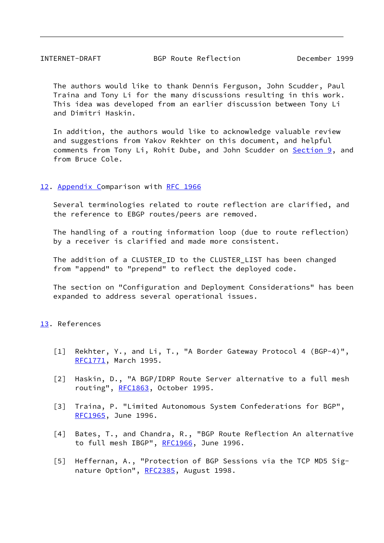The authors would like to thank Dennis Ferguson, John Scudder, Paul Traina and Tony Li for the many discussions resulting in this work. This idea was developed from an earlier discussion between Tony Li and Dimitri Haskin.

 In addition, the authors would like to acknowledge valuable review and suggestions from Yakov Rekhter on this document, and helpful comments from Tony Li, Rohit Dube, and John Scudder on [Section 9,](#page-7-1) and from Bruce Cole.

### <span id="page-9-5"></span>[12.](#page-9-5) Appendix Comparison with [RFC 1966](https://datatracker.ietf.org/doc/pdf/rfc1966)

 Several terminologies related to route reflection are clarified, and the reference to EBGP routes/peers are removed.

 The handling of a routing information loop (due to route reflection) by a receiver is clarified and made more consistent.

 The addition of a CLUSTER\_ID to the CLUSTER\_LIST has been changed from "append" to "prepend" to reflect the deployed code.

 The section on "Configuration and Deployment Considerations" has been expanded to address several operational issues.

## <span id="page-9-6"></span>[13.](#page-9-6) References

- <span id="page-9-0"></span> [1] Rekhter, Y., and Li, T., "A Border Gateway Protocol 4 (BGP-4)", [RFC1771](https://datatracker.ietf.org/doc/pdf/rfc1771), March 1995.
- <span id="page-9-1"></span> [2] Haskin, D., "A BGP/IDRP Route Server alternative to a full mesh routing", [RFC1863](https://datatracker.ietf.org/doc/pdf/rfc1863), October 1995.
- <span id="page-9-2"></span> [3] Traina, P. "Limited Autonomous System Confederations for BGP", [RFC1965](https://datatracker.ietf.org/doc/pdf/rfc1965), June 1996.
- <span id="page-9-3"></span> [4] Bates, T., and Chandra, R., "BGP Route Reflection An alternative to full mesh IBGP", [RFC1966](https://datatracker.ietf.org/doc/pdf/rfc1966), June 1996.
- <span id="page-9-4"></span> [5] Heffernan, A., "Protection of BGP Sessions via the TCP MD5 Sig- nature Option", [RFC2385](https://datatracker.ietf.org/doc/pdf/rfc2385), August 1998.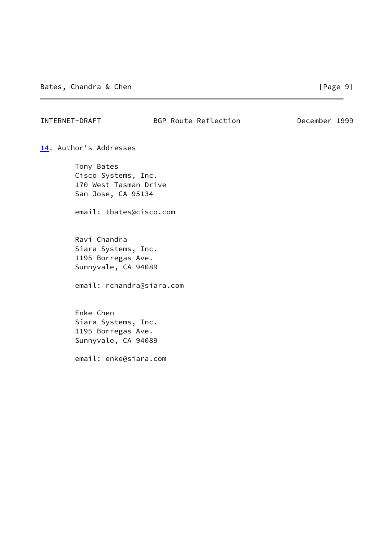## INTERNET-DRAFT BGP Route Reflection December 1999

<span id="page-10-0"></span>[14.](#page-10-0) Author's Addresses

 Tony Bates Cisco Systems, Inc. 170 West Tasman Drive San Jose, CA 95134

email: tbates@cisco.com

 Ravi Chandra Siara Systems, Inc. 1195 Borregas Ave. Sunnyvale, CA 94089

email: rchandra@siara.com

 Enke Chen Siara Systems, Inc. 1195 Borregas Ave. Sunnyvale, CA 94089

email: enke@siara.com